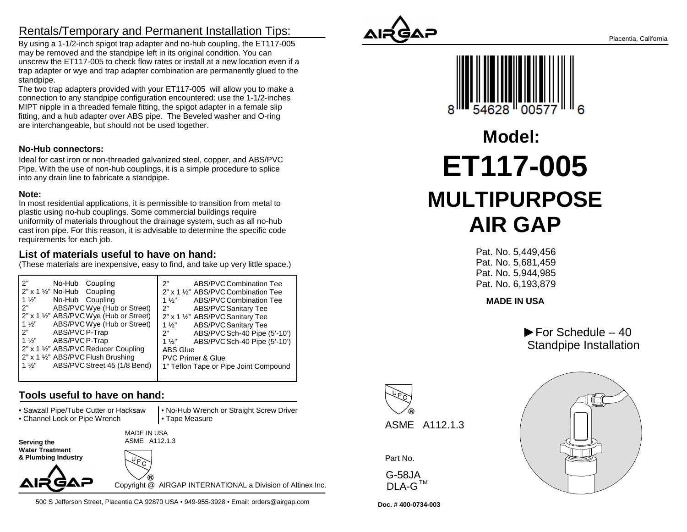## Rentals/Temporary and Permanent Installation Tips:

 By using a 1-1/2-inch spigot trap adapter and no-hub coupling, the ET117-005may be removed and the standpipe left in its original condition. You can unscrew the ET117-005 to check flow rates or install at a new location even if a trap adapter or wye and trap adapter combination are permanently glued to thestandpipe.

 The two trap adapters provided with your ET117-005 will allow you to make a connection to any standpipe configuration encountered: use the 1-1/2-inchesMIPT nipple in a threaded female fitting, the spigot adapter in a female slip fitting, and a hub adapter over ABS pipe. The Beveled washer and O-ringare interchangeable, but should not be used together.

#### **No-Hub connectors:**

Ideal for cast iron or non-threaded galvanized steel, copper, and ABS/PVC Pipe. With the use of non-hub couplings, it is a simple procedure to spliceinto any drain line to fabricate a standpipe.

#### **Note:**

 In most residential applications, it is permissible to transition from metal toplastic using no-hub couplings. Some commercial buildings require uniformity of materials throughout the drainage system, such as all no-hub cast iron pipe. For this reason, it is advisable to determine the specific coderequirements for each job.

#### **List of materials useful to have on hand:**

(These materials are inexpensive, easy to find, and take up very little space.)

| $2"$ x 1 $\frac{1}{2}"$ No-Hub Coupling<br>$1\frac{1}{2}$<br>No-Hub Coupling<br>$1\frac{1}{2}$                                                                                                                                                                                                                                                           | 2" x 1 1/2" ABS/PVC Combination Tee<br>ABS/PVC Combination Tee                                                                                                                                                                                                 |
|----------------------------------------------------------------------------------------------------------------------------------------------------------------------------------------------------------------------------------------------------------------------------------------------------------------------------------------------------------|----------------------------------------------------------------------------------------------------------------------------------------------------------------------------------------------------------------------------------------------------------------|
| 2"<br>ABS/PVC Wye (Hub or Street)<br>2"<br>2" x 1 1/2" ABS/PVC Wye (Hub or Street)<br>ABS/PVC Wye (Hub or Street)<br>$1\frac{1}{2}$<br>2"<br>ABS/PVC P-Trap<br>2"<br>$1\frac{1}{2}$<br>ABS/PVCP-Trap<br>1 $\frac{1}{2}$<br>2" x 1 1/2" ABS/PVC Reducer Coupling<br>2" x 1 1/2" ABS/PVC Flush Brushing<br>ABS/PVC Street 45 (1/8 Bend)<br>1 $\frac{1}{2}$ | ABS/PVC Sanitary Tee<br>2" x 1 1/2" ABS/PVC Sanitary Tee<br><b>ABS/PVC Sanitary Tee</b><br>$1\frac{1}{2}$<br>ABS/PVC Sch-40 Pipe (5'-10')<br>ABS/PVC Sch-40 Pipe (5'-10')<br>ABS Glue<br><b>PVC Primer &amp; Glue</b><br>1" Teflon Tape or Pipe Joint Compound |

### **Tools useful to have on hand:**

• Sawzall Pipe/Tube Cutter or Hacksaw

• Channel Lock or Pipe Wrench

 • No-Hub Wrench or Straight Screw Driver• Tape Measure

MADE IN USA

 **Water Treatment & Plumbing Industry**

**Serving the** 



ASME A112.1.3

Copyright @ AIRGAP INTERNATIONAL a Division of Altinex Inc.

500 S Jefferson Street, Placentia CA 92870 USA • 949-955-3928 • Email: orders@airgap.com





# **ET117-005 MULTIPURPOSEAIR GAPModel:**

 Pat. No. 5,449,456 Pat. No. 5,681,459 Pat. No. 5,944,985Pat. No. 6,193,879

**MADE IN USA**

 $\blacktriangleright$  For Schedule – 40 Standpipe Installation



Part No.

G-58JA<code>DLA-G $^{\sf \tiny TM}$ </code>



**Doc. # 400-0734-003**